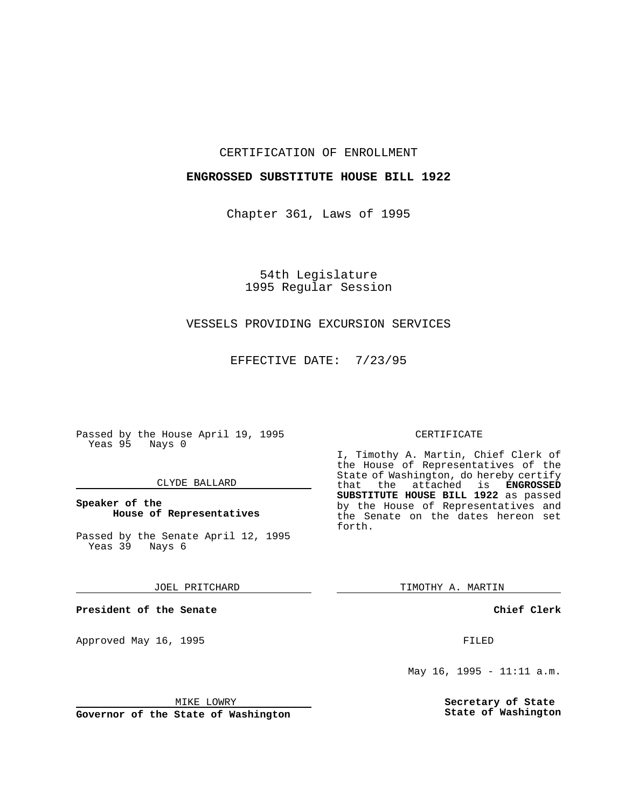### CERTIFICATION OF ENROLLMENT

## **ENGROSSED SUBSTITUTE HOUSE BILL 1922**

Chapter 361, Laws of 1995

54th Legislature 1995 Regular Session

## VESSELS PROVIDING EXCURSION SERVICES

EFFECTIVE DATE: 7/23/95

Passed by the House April 19, 1995 Yeas 95 Nays 0

#### CLYDE BALLARD

### **Speaker of the House of Representatives**

Passed by the Senate April 12, 1995 Yeas 39 Nays 6

JOEL PRITCHARD

**President of the Senate**

Approved May 16, 1995 **FILED** 

#### MIKE LOWRY

**Governor of the State of Washington**

#### CERTIFICATE

I, Timothy A. Martin, Chief Clerk of the House of Representatives of the State of Washington, do hereby certify<br>that the attached is **ENGROSSED** the attached is **ENGROSSED SUBSTITUTE HOUSE BILL 1922** as passed by the House of Representatives and the Senate on the dates hereon set forth.

TIMOTHY A. MARTIN

**Chief Clerk**

May 16, 1995 - 11:11 a.m.

**Secretary of State State of Washington**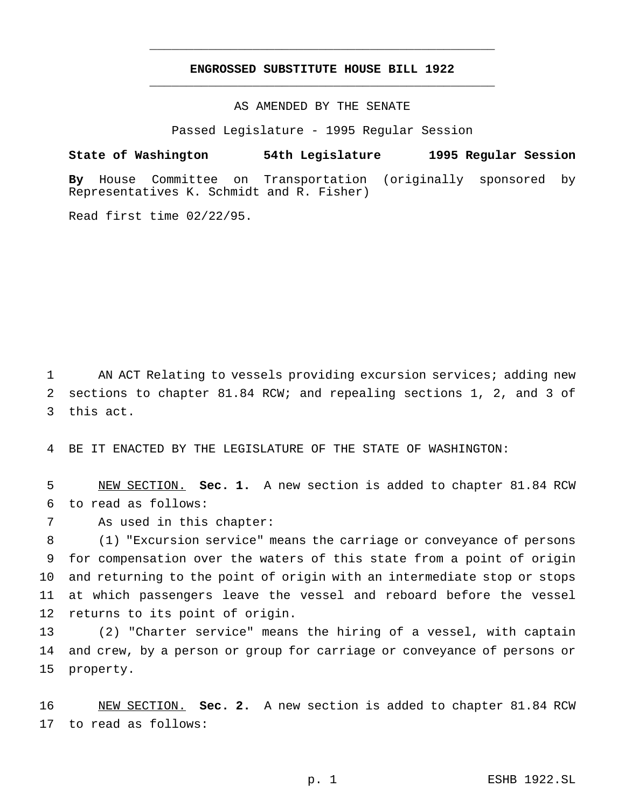# **ENGROSSED SUBSTITUTE HOUSE BILL 1922** \_\_\_\_\_\_\_\_\_\_\_\_\_\_\_\_\_\_\_\_\_\_\_\_\_\_\_\_\_\_\_\_\_\_\_\_\_\_\_\_\_\_\_\_\_\_\_

\_\_\_\_\_\_\_\_\_\_\_\_\_\_\_\_\_\_\_\_\_\_\_\_\_\_\_\_\_\_\_\_\_\_\_\_\_\_\_\_\_\_\_\_\_\_\_

AS AMENDED BY THE SENATE

Passed Legislature - 1995 Regular Session

**State of Washington 54th Legislature 1995 Regular Session**

**By** House Committee on Transportation (originally sponsored by Representatives K. Schmidt and R. Fisher)

Read first time 02/22/95.

 AN ACT Relating to vessels providing excursion services; adding new sections to chapter 81.84 RCW; and repealing sections 1, 2, and 3 of this act.

BE IT ENACTED BY THE LEGISLATURE OF THE STATE OF WASHINGTON:

 NEW SECTION. **Sec. 1.** A new section is added to chapter 81.84 RCW to read as follows:

As used in this chapter:

 (1) "Excursion service" means the carriage or conveyance of persons for compensation over the waters of this state from a point of origin and returning to the point of origin with an intermediate stop or stops at which passengers leave the vessel and reboard before the vessel returns to its point of origin.

 (2) "Charter service" means the hiring of a vessel, with captain and crew, by a person or group for carriage or conveyance of persons or property.

 NEW SECTION. **Sec. 2.** A new section is added to chapter 81.84 RCW to read as follows: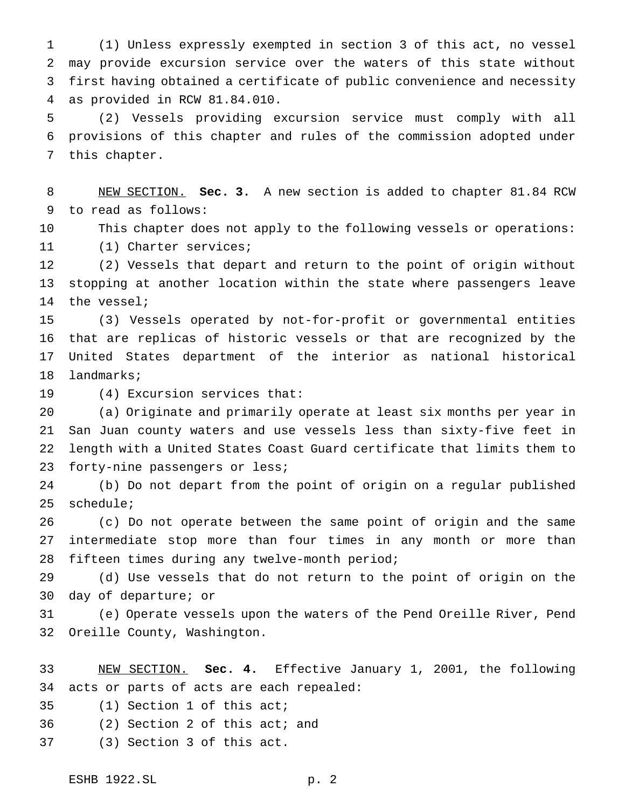(1) Unless expressly exempted in section 3 of this act, no vessel may provide excursion service over the waters of this state without first having obtained a certificate of public convenience and necessity as provided in RCW 81.84.010.

 (2) Vessels providing excursion service must comply with all provisions of this chapter and rules of the commission adopted under this chapter.

 NEW SECTION. **Sec. 3.** A new section is added to chapter 81.84 RCW to read as follows:

 This chapter does not apply to the following vessels or operations: (1) Charter services;

 (2) Vessels that depart and return to the point of origin without stopping at another location within the state where passengers leave the vessel;

 (3) Vessels operated by not-for-profit or governmental entities that are replicas of historic vessels or that are recognized by the United States department of the interior as national historical landmarks;

(4) Excursion services that:

 (a) Originate and primarily operate at least six months per year in San Juan county waters and use vessels less than sixty-five feet in length with a United States Coast Guard certificate that limits them to 23 forty-nine passengers or less;

 (b) Do not depart from the point of origin on a regular published schedule;

 (c) Do not operate between the same point of origin and the same intermediate stop more than four times in any month or more than fifteen times during any twelve-month period;

 (d) Use vessels that do not return to the point of origin on the day of departure; or

 (e) Operate vessels upon the waters of the Pend Oreille River, Pend Oreille County, Washington.

 NEW SECTION. **Sec. 4.** Effective January 1, 2001, the following acts or parts of acts are each repealed:

(1) Section 1 of this act;

(2) Section 2 of this act; and

(3) Section 3 of this act.